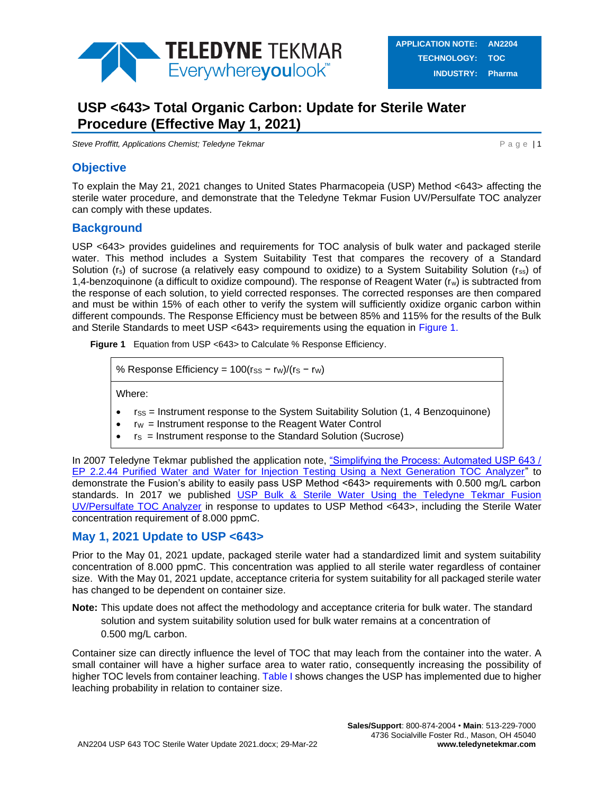

# **USP <643> Total Organic Carbon: Update for Sterile Water Procedure (Effective May 1, 2021)**

**Steve Proffitt, Applications Chemist; Teledyne Tekmar Particle 10 and 2009 P a g e | 1** 

### **Objective**

To explain the May 21, 2021 changes to United States Pharmacopeia (USP) Method <643> affecting the sterile water procedure, and demonstrate that the Teledyne Tekmar Fusion UV/Persulfate TOC analyzer can comply with these updates.

### **Background**

USP <643> provides guidelines and requirements for TOC analysis of bulk water and packaged sterile water. This method includes a System Suitability Test that compares the recovery of a Standard Solution (r<sub>s</sub>) of sucrose (a relatively easy compound to oxidize) to a System Suitability Solution (rss) of 1,4-benzoquinone (a difficult to oxidize compound). The response of Reagent Water (rw) is subtracted from the response of each solution, to yield corrected responses. The corrected responses are then compared and must be within 15% of each other to verify the system will sufficiently oxidize organic carbon within different compounds. The Response Efficiency must be between 85% and 115% for the results of the Bulk and Sterile Standards to meet USP <643> requirements using the equation in [Figure 1.](#page-0-0)

<span id="page-0-0"></span>**Figure 1** Equation from USP <643> to Calculate % Response Efficiency.

% Response Efficiency =  $100$ (rss - rw)/(rs - rw)

Where:

- rss = Instrument response to the System Suitability Solution (1, 4 Benzoquinone)
- $\bullet$  r<sub>W</sub> = Instrument response to the Reagent Water Control
- $rs =$  Instrument response to the Standard Solution (Sucrose)

In 2007 Teledyne Tekmar published the application note, "Simplifying the Process: Automated USP 643 / [EP 2.2.44 Purified Water and Water for Injection Testing Using a Next Generation TOC Analyzer"](http://www.teledynetekmar.com/resources/Application%20Notes/Simplifying%20the%20Process_Automated%20USP%20643_EP%202_2_44%20Purified%20Water%20and%20Water%20For%20Injection%20Testing%20Using%20A%20Next%20Generation%20TOC%20Analyzer.pdf) to demonstrate the Fusion's ability to easily pass USP Method <643> requirements with 0.500 mg/L carbon standards. In 2017 we published [USP Bulk & Sterile Water Using the Teledyne Tekmar Fusion](http://www.teledynetekmar.com/resources/Application%20Notes/Fusion%20USP%20643%20Bulk%20and%20Sterile%20Water%20Testing.pdf)  [UV/Persulfate TOC Analyzer](http://www.teledynetekmar.com/resources/Application%20Notes/Fusion%20USP%20643%20Bulk%20and%20Sterile%20Water%20Testing.pdf) in response to updates to USP Method <643>, including the Sterile Water concentration requirement of 8.000 ppmC.

### **May 1, 2021 Update to USP <643>**

Prior to the May 01, 2021 update, packaged sterile water had a standardized limit and system suitability concentration of 8.000 ppmC. This concentration was applied to all sterile water regardless of container size. With the May 01, 2021 update, acceptance criteria for system suitability for all packaged sterile water has changed to be dependent on container size.

**Note:** This update does not affect the methodology and acceptance criteria for bulk water. The standard solution and system suitability solution used for bulk water remains at a concentration of 0.500 mg/L carbon.

Container size can directly influence the level of TOC that may leach from the container into the water. A small container will have a higher surface area to water ratio, consequently increasing the possibility of higher TOC levels from container leaching. [Table I](#page-1-0) shows changes the USP has implemented due to higher leaching probability in relation to container size.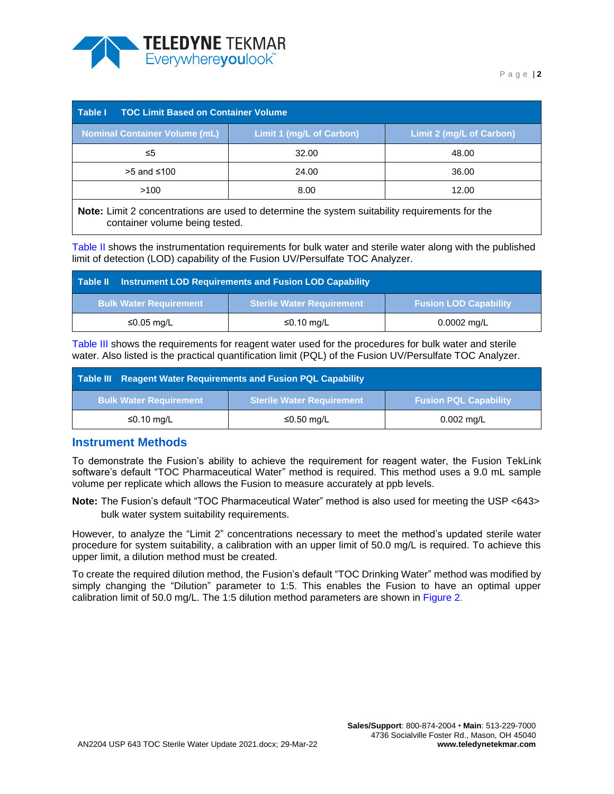

<span id="page-1-0"></span>

| <b>TOC Limit Based on Container Volume</b><br>Table I                                          |                          |                          |  |  |  |  |
|------------------------------------------------------------------------------------------------|--------------------------|--------------------------|--|--|--|--|
| <b>Nominal Container Volume (mL)</b>                                                           | Limit 1 (mg/L of Carbon) | Limit 2 (mg/L of Carbon) |  |  |  |  |
| ≤5                                                                                             | 32.00                    | 48.00                    |  |  |  |  |
| $>5$ and ≤100                                                                                  | 24.00                    | 36.00                    |  |  |  |  |
| >100<br>8.00<br>12.00                                                                          |                          |                          |  |  |  |  |
| Note: Limit 2 concentrations are used to determine the system suitability requirements for the |                          |                          |  |  |  |  |

**pte:** Limit 2 concentrations are used to determine the system suitability requirements for the container volume being tested.

[Table II](#page-1-1) shows the instrumentation requirements for bulk water and sterile water along with the published limit of detection (LOD) capability of the Fusion UV/Persulfate TOC Analyzer.

<span id="page-1-1"></span>

|                               | Table II Instrument LOD Requirements and Fusion LOD Capability   |               |  |  |  |  |  |
|-------------------------------|------------------------------------------------------------------|---------------|--|--|--|--|--|
| <b>Bulk Water Requirement</b> | <b>Fusion LOD Capability</b><br><b>Sterile Water Requirement</b> |               |  |  |  |  |  |
| ≤0.05 mg/L                    | ≤0.10 mg/L                                                       | $0.0002$ mg/L |  |  |  |  |  |

[Table III](#page-1-2) shows the requirements for reagent water used for the procedures for bulk water and sterile water. Also listed is the practical quantification limit (PQL) of the Fusion UV/Persulfate TOC Analyzer.

<span id="page-1-2"></span>

|                                                                                                   | Table III Reagent Water Requirements and Fusion PQL Capability |            |  |  |  |  |  |
|---------------------------------------------------------------------------------------------------|----------------------------------------------------------------|------------|--|--|--|--|--|
| <b>Sterile Water Requirement</b><br><b>Fusion PQL Capability</b><br><b>Bulk Water Requirement</b> |                                                                |            |  |  |  |  |  |
| ≤0.10 mg/L                                                                                        | ≤0.50 mg/L                                                     | 0.002 mg/L |  |  |  |  |  |

### **Instrument Methods**

To demonstrate the Fusion's ability to achieve the requirement for reagent water, the Fusion TekLink software's default "TOC Pharmaceutical Water" method is required. This method uses a 9.0 mL sample volume per replicate which allows the Fusion to measure accurately at ppb levels.

**Note:** The Fusion's default "TOC Pharmaceutical Water" method is also used for meeting the USP <643> bulk water system suitability requirements.

However, to analyze the "Limit 2" concentrations necessary to meet the method's updated sterile water procedure for system suitability, a calibration with an upper limit of 50.0 mg/L is required. To achieve this upper limit, a dilution method must be created.

To create the required dilution method, the Fusion's default "TOC Drinking Water" method was modified by simply changing the "Dilution" parameter to 1:5. This enables the Fusion to have an optimal upper calibration limit of 50.0 mg/L. The 1:5 dilution method parameters are shown in [Figure 2.](#page-2-0)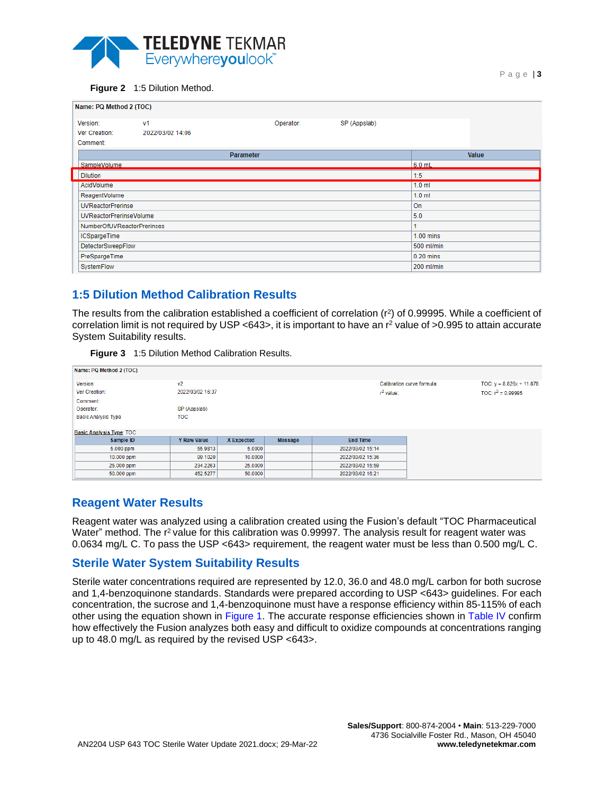

<span id="page-2-0"></span>

P a g e | **3**

| Name: PQ Method 2 (TOC)    |                  |            |              |             |
|----------------------------|------------------|------------|--------------|-------------|
| Version:                   | V <sub>1</sub>   | Operator:  | SP (Appslab) |             |
| Ver Creation:              | 2022/03/02 14:06 |            |              |             |
| Comment:                   |                  |            |              |             |
|                            | <b>Parameter</b> |            |              | Value       |
| SampleVolume               |                  |            |              | $6.0$ mL    |
| <b>Dilution</b>            |                  |            |              | 1:5         |
| AcidVolume                 |                  |            |              | $1.0$ ml    |
| ReagentVolume              |                  | $1.0$ ml   |              |             |
| <b>UVReactorPrerinse</b>   |                  |            |              | <b>On</b>   |
| UVReactorPrerinseVolume    |                  |            |              | 5.0         |
| NumberOfUVReactorPrerinses |                  |            |              |             |
| <b>ICSpargeTime</b>        |                  |            |              | $1.00$ mins |
| <b>DetectorSweepFlow</b>   |                  | 500 ml/min |              |             |
| PreSpargeTime              |                  | 0.20 mins  |              |             |
| SystemFlow                 |                  | 200 ml/min |              |             |
|                            |                  |            |              |             |

## **1:5 Dilution Method Calibration Results**

The results from the calibration established a coefficient of correlation  $(r^2)$  of 0.99995. While a coefficient of correlation limit is not required by USP  $<$ 643>, it is important to have an  $r^2$  value of >0.995 to attain accurate System Suitability results.

| Figure 3 | 1:5 Dilution Method Calibration Results. |
|----------|------------------------------------------|
|          |                                          |

| Name: PQ Method 2 (TOC)         |                    |                   |                |                  |                            |                            |
|---------------------------------|--------------------|-------------------|----------------|------------------|----------------------------|----------------------------|
| Version:                        | V <sub>2</sub>     |                   |                |                  | Calibration curve formula: | TOC: $y = 8.826x + 11.878$ |
| Ver Creation:                   | 2022/03/02 16:37   |                   |                | $r^2$ value:     |                            | TOC: $r^2 = 0.99995$       |
| Comment:                        |                    |                   |                |                  |                            |                            |
| Operator:                       | SP (Appslab)       |                   |                |                  |                            |                            |
| <b>Basic Analysis Type</b>      | <b>TOC</b>         |                   |                |                  |                            |                            |
|                                 |                    |                   |                |                  |                            |                            |
| <b>Basic Analysis Type: TOC</b> |                    |                   |                |                  |                            |                            |
| Sample ID                       | <b>Y Raw Value</b> | <b>X</b> Expected | <b>Message</b> | <b>End Time</b>  |                            |                            |
| 5.000 ppm                       | 55,9813            | 5.0000            |                | 2022/03/02 15:14 |                            |                            |
| 10.000 ppm                      | 99.1020            | 10.0000           |                | 2022/03/02 15:36 |                            |                            |
| 25.000 ppm                      | 234.2263           | 25,0000           |                | 2022/03/02 15:59 |                            |                            |
| 50.000 ppm                      | 452.5277           | 50.0000           |                | 2022/03/02 16:21 |                            |                            |

### **Reagent Water Results**

Reagent water was analyzed using a calibration created using the Fusion's default "TOC Pharmaceutical Water" method. The r<sup>2</sup> value for this calibration was 0.99997. The analysis result for reagent water was 0.0634 mg/L C. To pass the USP <643> requirement, the reagent water must be less than 0.500 mg/L C.

### **Sterile Water System Suitability Results**

Sterile water concentrations required are represented by 12.0, 36.0 and 48.0 mg/L carbon for both sucrose and 1,4-benzoquinone standards. Standards were prepared according to USP <643> guidelines. For each concentration, the sucrose and 1,4-benzoquinone must have a response efficiency within 85-115% of each other using the equation shown in [Figure 1.](#page-0-0) The accurate response efficiencies shown in [Table IV](#page-3-0) confirm how effectively the Fusion analyzes both easy and difficult to oxidize compounds at concentrations ranging up to 48.0 mg/L as required by the revised USP <643>.